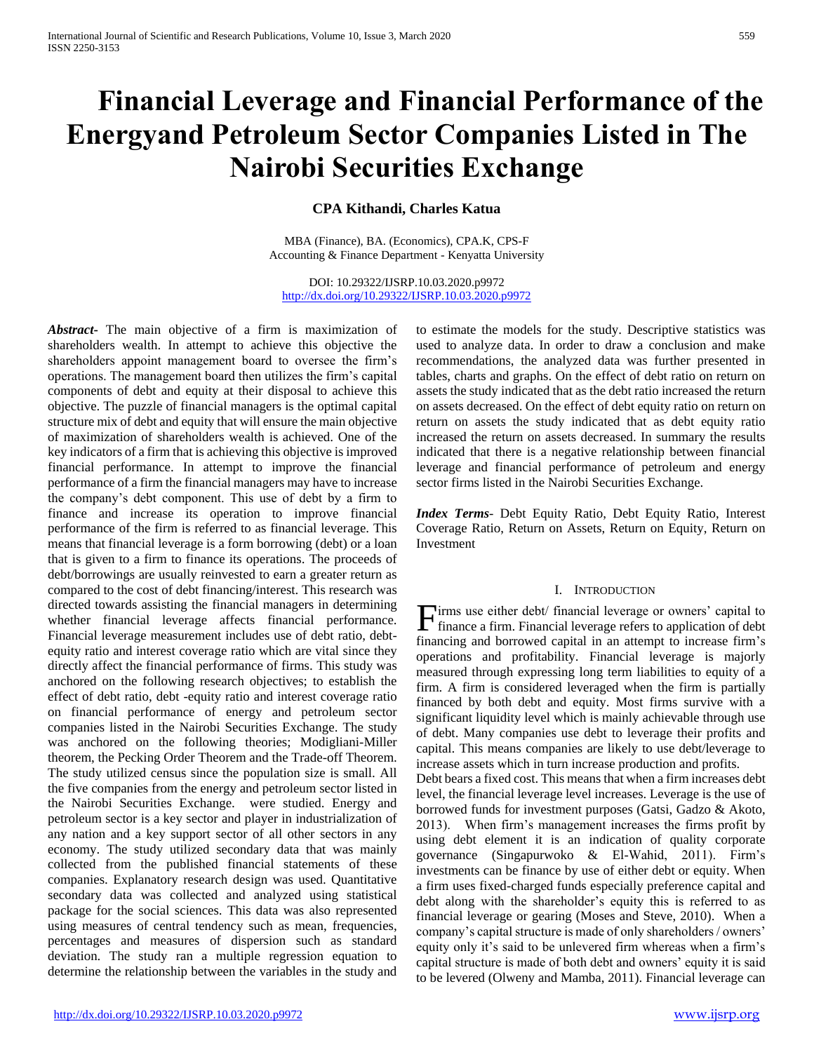# **Financial Leverage and Financial Performance of the Energyand Petroleum Sector Companies Listed in The Nairobi Securities Exchange**

**CPA Kithandi, Charles Katua**

MBA (Finance), BA. (Economics), CPA.K, CPS-F Accounting & Finance Department - Kenyatta University

DOI: 10.29322/IJSRP.10.03.2020.p9972 <http://dx.doi.org/10.29322/IJSRP.10.03.2020.p9972>

*Abstract***-** The main objective of a firm is maximization of shareholders wealth. In attempt to achieve this objective the shareholders appoint management board to oversee the firm's operations. The management board then utilizes the firm's capital components of debt and equity at their disposal to achieve this objective. The puzzle of financial managers is the optimal capital structure mix of debt and equity that will ensure the main objective of maximization of shareholders wealth is achieved. One of the key indicators of a firm that is achieving this objective is improved financial performance. In attempt to improve the financial performance of a firm the financial managers may have to increase the company's debt component. This use of debt by a firm to finance and increase its operation to improve financial performance of the firm is referred to as financial leverage. This means that financial leverage is a form borrowing (debt) or a loan that is given to a firm to finance its operations. The proceeds of debt/borrowings are usually reinvested to earn a greater return as compared to the cost of debt financing/interest. This research was directed towards assisting the financial managers in determining whether financial leverage affects financial performance. Financial leverage measurement includes use of debt ratio, debtequity ratio and interest coverage ratio which are vital since they directly affect the financial performance of firms. This study was anchored on the following research objectives; to establish the effect of debt ratio, debt -equity ratio and interest coverage ratio on financial performance of energy and petroleum sector companies listed in the Nairobi Securities Exchange. The study was anchored on the following theories; Modigliani-Miller theorem, the Pecking Order Theorem and the Trade-off Theorem. The study utilized census since the population size is small. All the five companies from the energy and petroleum sector listed in the Nairobi Securities Exchange. were studied. Energy and petroleum sector is a key sector and player in industrialization of any nation and a key support sector of all other sectors in any economy. The study utilized secondary data that was mainly collected from the published financial statements of these companies. Explanatory research design was used. Quantitative secondary data was collected and analyzed using statistical package for the social sciences. This data was also represented using measures of central tendency such as mean, frequencies, percentages and measures of dispersion such as standard deviation. The study ran a multiple regression equation to determine the relationship between the variables in the study and

to estimate the models for the study. Descriptive statistics was used to analyze data. In order to draw a conclusion and make recommendations, the analyzed data was further presented in tables, charts and graphs. On the effect of debt ratio on return on assets the study indicated that as the debt ratio increased the return on assets decreased. On the effect of debt equity ratio on return on return on assets the study indicated that as debt equity ratio increased the return on assets decreased. In summary the results indicated that there is a negative relationship between financial leverage and financial performance of petroleum and energy sector firms listed in the Nairobi Securities Exchange.

*Index Terms*- Debt Equity Ratio, Debt Equity Ratio, Interest Coverage Ratio, Return on Assets, Return on Equity, Return on Investment

#### I. INTRODUCTION

Firms use either debt/ financial leverage or owners' capital to finance a firm. Financial leverage refers to application of debt finance a firm. Financial leverage refers to application of debt financing and borrowed capital in an attempt to increase firm's operations and profitability. Financial leverage is majorly measured through expressing long term liabilities to equity of a firm. A firm is considered leveraged when the firm is partially financed by both debt and equity. Most firms survive with a significant liquidity level which is mainly achievable through use of debt. Many companies use debt to leverage their profits and capital. This means companies are likely to use debt/leverage to increase assets which in turn increase production and profits.

Debt bears a fixed cost. This means that when a firm increases debt level, the financial leverage level increases. Leverage is the use of borrowed funds for investment purposes (Gatsi, Gadzo & Akoto, 2013). When firm's management increases the firms profit by using debt element it is an indication of quality corporate governance (Singapurwoko & El-Wahid, 2011). Firm's investments can be finance by use of either debt or equity. When a firm uses fixed-charged funds especially preference capital and debt along with the shareholder's equity this is referred to as financial leverage or gearing (Moses and Steve, 2010). When a company's capital structure is made of only shareholders / owners' equity only it's said to be unlevered firm whereas when a firm's capital structure is made of both debt and owners' equity it is said to be levered (Olweny and Mamba, 2011). Financial leverage can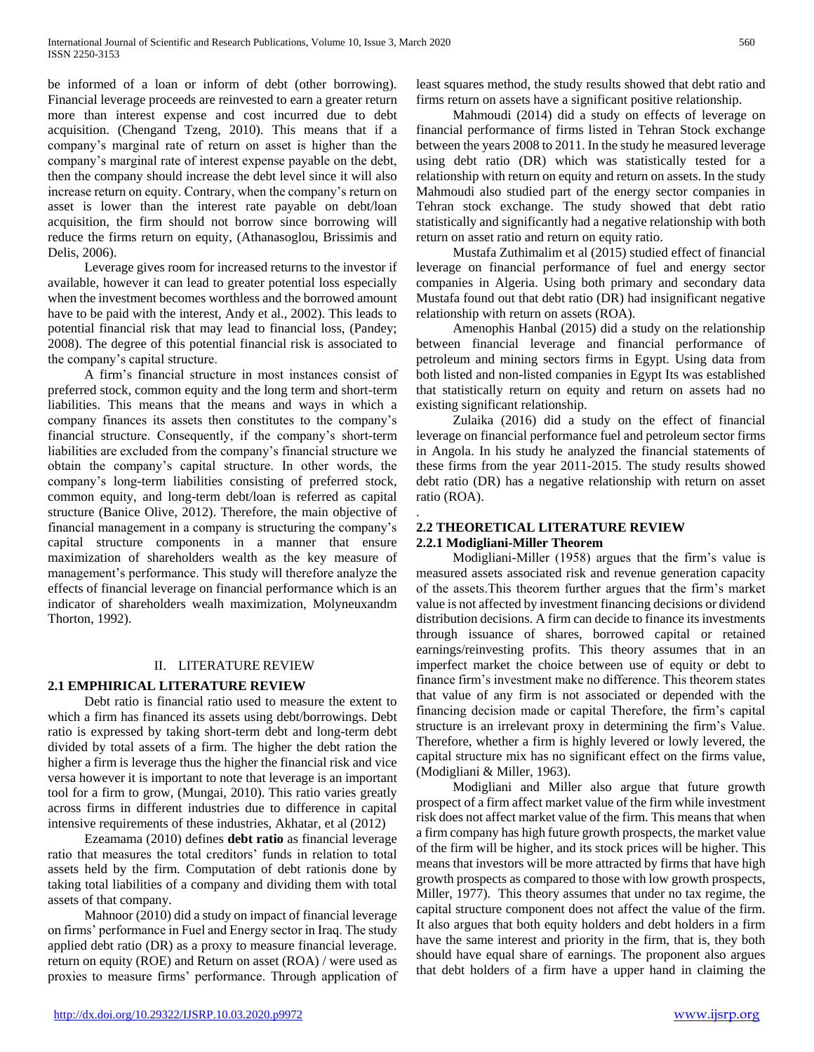be informed of a loan or inform of debt (other borrowing). Financial leverage proceeds are reinvested to earn a greater return more than interest expense and cost incurred due to debt acquisition. (Chengand Tzeng, 2010). This means that if a company's marginal rate of return on asset is higher than the company's marginal rate of interest expense payable on the debt, then the company should increase the debt level since it will also increase return on equity. Contrary, when the company's return on asset is lower than the interest rate payable on debt/loan acquisition, the firm should not borrow since borrowing will reduce the firms return on equity, (Athanasoglou, Brissimis and Delis, 2006).

 Leverage gives room for increased returns to the investor if available, however it can lead to greater potential loss especially when the investment becomes worthless and the borrowed amount have to be paid with the interest, Andy et al., 2002). This leads to potential financial risk that may lead to financial loss, (Pandey; 2008). The degree of this potential financial risk is associated to the company's capital structure.

 A firm's financial structure in most instances consist of preferred stock, common equity and the long term and short-term liabilities. This means that the means and ways in which a company finances its assets then constitutes to the company's financial structure. Consequently, if the company's short-term liabilities are excluded from the company's financial structure we obtain the company's capital structure. In other words, the company's long-term liabilities consisting of preferred stock, common equity, and long-term debt/loan is referred as capital structure (Banice Olive, 2012). Therefore, the main objective of financial management in a company is structuring the company's capital structure components in a manner that ensure maximization of shareholders wealth as the key measure of management's performance. This study will therefore analyze the effects of financial leverage on financial performance which is an indicator of shareholders wealh maximization, Molyneuxandm Thorton, 1992).

## II. LITERATURE REVIEW

# **2.1 EMPHIRICAL LITERATURE REVIEW**

 Debt ratio is financial ratio used to measure the extent to which a firm has financed its assets using debt/borrowings. Debt ratio is expressed by taking short-term debt and long-term debt divided by total assets of a firm. The higher the debt ration the higher a firm is leverage thus the higher the financial risk and vice versa however it is important to note that leverage is an important tool for a firm to grow, (Mungai, 2010). This ratio varies greatly across firms in different industries due to difference in capital intensive requirements of these industries, Akhatar, et al (2012)

 Ezeamama (2010) defines **debt ratio** as financial leverage ratio that measures the total creditors' funds in relation to total assets held by the firm. Computation of debt rationis done by taking total liabilities of a company and dividing them with total assets of that company.

 Mahnoor (2010) did a study on impact of financial leverage on firms' performance in Fuel and Energy sector in Iraq. The study applied debt ratio (DR) as a proxy to measure financial leverage. return on equity (ROE) and Return on asset (ROA) / were used as proxies to measure firms' performance. Through application of least squares method, the study results showed that debt ratio and firms return on assets have a significant positive relationship.

 Mahmoudi (2014) did a study on effects of leverage on financial performance of firms listed in Tehran Stock exchange between the years 2008 to 2011. In the study he measured leverage using debt ratio (DR) which was statistically tested for a relationship with return on equity and return on assets. In the study Mahmoudi also studied part of the energy sector companies in Tehran stock exchange. The study showed that debt ratio statistically and significantly had a negative relationship with both return on asset ratio and return on equity ratio.

 Mustafa Zuthimalim et al (2015) studied effect of financial leverage on financial performance of fuel and energy sector companies in Algeria. Using both primary and secondary data Mustafa found out that debt ratio (DR) had insignificant negative relationship with return on assets (ROA).

 Amenophis Hanbal (2015) did a study on the relationship between financial leverage and financial performance of petroleum and mining sectors firms in Egypt. Using data from both listed and non-listed companies in Egypt Its was established that statistically return on equity and return on assets had no existing significant relationship.

 Zulaika (2016) did a study on the effect of financial leverage on financial performance fuel and petroleum sector firms in Angola. In his study he analyzed the financial statements of these firms from the year 2011-2015. The study results showed debt ratio (DR) has a negative relationship with return on asset ratio (ROA).

## **2.2 THEORETICAL LITERATURE REVIEW 2.2.1 Modigliani-Miller Theorem**

.

 Modigliani-Miller (1958) argues that the firm's value is measured assets associated risk and revenue generation capacity of the assets.This theorem further argues that the firm's market value is not affected by investment financing decisions or dividend distribution decisions. A firm can decide to finance its investments through issuance of shares, borrowed capital or retained earnings/reinvesting profits. This theory assumes that in an imperfect market the choice between use of equity or debt to finance firm's investment make no difference. This theorem states that value of any firm is not associated or depended with the financing decision made or capital Therefore, the firm's capital structure is an irrelevant proxy in determining the firm's Value. Therefore, whether a firm is highly levered or lowly levered, the capital structure mix has no significant effect on the firms value, (Modigliani & Miller, 1963).

 Modigliani and Miller also argue that future growth prospect of a firm affect market value of the firm while investment risk does not affect market value of the firm. This means that when a firm company has high future growth prospects, the market value of the firm will be higher, and its stock prices will be higher. This means that investors will be more attracted by firms that have high growth prospects as compared to those with low growth prospects, Miller, 1977). This theory assumes that under no tax regime, the capital structure component does not affect the value of the firm. It also argues that both equity holders and debt holders in a firm have the same interest and priority in the firm, that is, they both should have equal share of earnings. The proponent also argues that debt holders of a firm have a upper hand in claiming the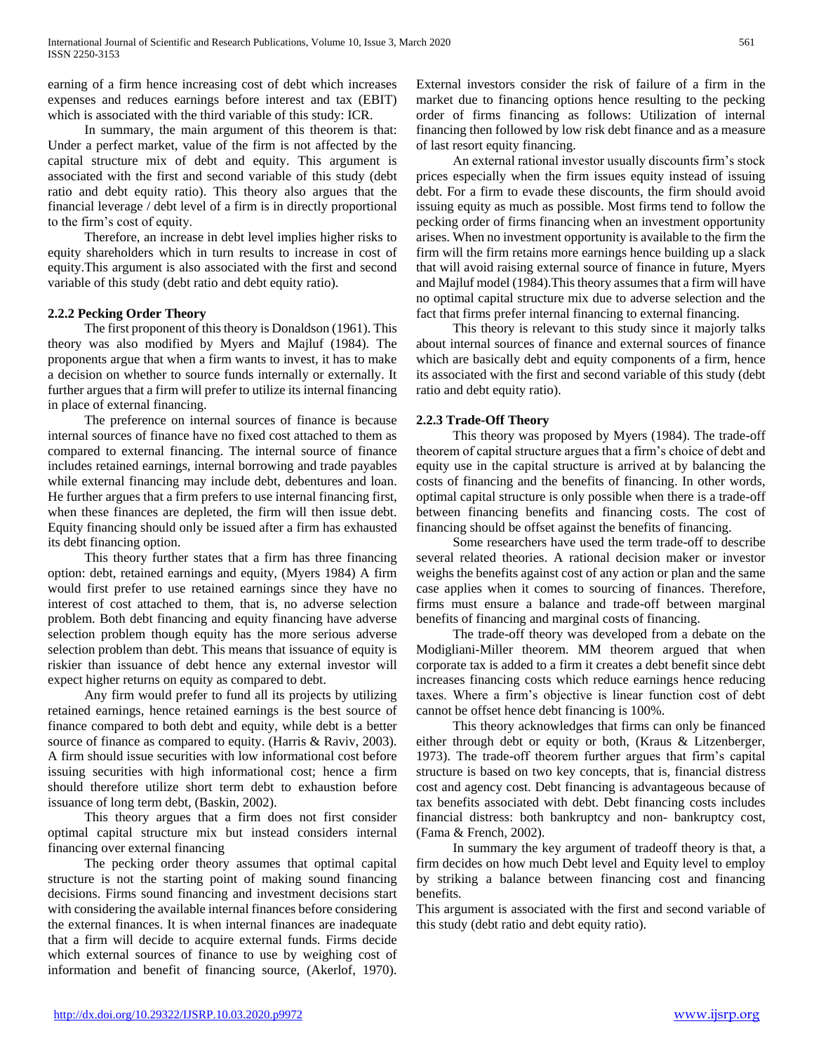earning of a firm hence increasing cost of debt which increases expenses and reduces earnings before interest and tax (EBIT) which is associated with the third variable of this study: ICR.

 In summary, the main argument of this theorem is that: Under a perfect market, value of the firm is not affected by the capital structure mix of debt and equity. This argument is associated with the first and second variable of this study (debt ratio and debt equity ratio). This theory also argues that the financial leverage / debt level of a firm is in directly proportional to the firm's cost of equity.

 Therefore, an increase in debt level implies higher risks to equity shareholders which in turn results to increase in cost of equity.This argument is also associated with the first and second variable of this study (debt ratio and debt equity ratio).

# **2.2.2 Pecking Order Theory**

 The first proponent of this theory is Donaldson (1961). This theory was also modified by Myers and Majluf (1984). The proponents argue that when a firm wants to invest, it has to make a decision on whether to source funds internally or externally. It further argues that a firm will prefer to utilize its internal financing in place of external financing.

 The preference on internal sources of finance is because internal sources of finance have no fixed cost attached to them as compared to external financing. The internal source of finance includes retained earnings, internal borrowing and trade payables while external financing may include debt, debentures and loan. He further argues that a firm prefers to use internal financing first, when these finances are depleted, the firm will then issue debt. Equity financing should only be issued after a firm has exhausted its debt financing option.

 This theory further states that a firm has three financing option: debt, retained earnings and equity, (Myers 1984) A firm would first prefer to use retained earnings since they have no interest of cost attached to them, that is, no adverse selection problem. Both debt financing and equity financing have adverse selection problem though equity has the more serious adverse selection problem than debt. This means that issuance of equity is riskier than issuance of debt hence any external investor will expect higher returns on equity as compared to debt.

 Any firm would prefer to fund all its projects by utilizing retained earnings, hence retained earnings is the best source of finance compared to both debt and equity, while debt is a better source of finance as compared to equity. (Harris & Raviv, 2003). A firm should issue securities with low informational cost before issuing securities with high informational cost; hence a firm should therefore utilize short term debt to exhaustion before issuance of long term debt, (Baskin, 2002).

 This theory argues that a firm does not first consider optimal capital structure mix but instead considers internal financing over external financing

 The pecking order theory assumes that optimal capital structure is not the starting point of making sound financing decisions. Firms sound financing and investment decisions start with considering the available internal finances before considering the external finances. It is when internal finances are inadequate that a firm will decide to acquire external funds. Firms decide which external sources of finance to use by weighing cost of information and benefit of financing source, (Akerlof, 1970).

External investors consider the risk of failure of a firm in the market due to financing options hence resulting to the pecking order of firms financing as follows: Utilization of internal financing then followed by low risk debt finance and as a measure of last resort equity financing.

 An external rational investor usually discounts firm's stock prices especially when the firm issues equity instead of issuing debt. For a firm to evade these discounts, the firm should avoid issuing equity as much as possible. Most firms tend to follow the pecking order of firms financing when an investment opportunity arises. When no investment opportunity is available to the firm the firm will the firm retains more earnings hence building up a slack that will avoid raising external source of finance in future, Myers and Majluf model (1984).This theory assumes that a firm will have no optimal capital structure mix due to adverse selection and the fact that firms prefer internal financing to external financing.

 This theory is relevant to this study since it majorly talks about internal sources of finance and external sources of finance which are basically debt and equity components of a firm, hence its associated with the first and second variable of this study (debt ratio and debt equity ratio).

## **2.2.3 Trade-Off Theory**

 This theory was proposed by Myers (1984). The trade-off theorem of capital structure argues that a firm's choice of debt and equity use in the capital structure is arrived at by balancing the costs of financing and the benefits of financing. In other words, optimal capital structure is only possible when there is a trade-off between financing benefits and financing costs. The cost of financing should be offset against the benefits of financing.

 Some researchers have used the term trade-off to describe several related theories. A rational decision maker or investor weighs the benefits against cost of any action or plan and the same case applies when it comes to sourcing of finances. Therefore, firms must ensure a balance and trade-off between marginal benefits of financing and marginal costs of financing.

 The trade-off theory was developed from a debate on the Modigliani-Miller theorem. MM theorem argued that when corporate tax is added to a firm it creates a debt benefit since debt increases financing costs which reduce earnings hence reducing taxes. Where a firm's objective is linear function cost of debt cannot be offset hence debt financing is 100%.

 This theory acknowledges that firms can only be financed either through debt or equity or both, (Kraus & Litzenberger, 1973). The trade-off theorem further argues that firm's capital structure is based on two key concepts, that is, financial distress cost and agency cost. Debt financing is advantageous because of tax benefits associated with debt. Debt financing costs includes financial distress: both bankruptcy and non- bankruptcy cost, (Fama & French, 2002).

 In summary the key argument of tradeoff theory is that, a firm decides on how much Debt level and Equity level to employ by striking a balance between financing cost and financing benefits.

This argument is associated with the first and second variable of this study (debt ratio and debt equity ratio).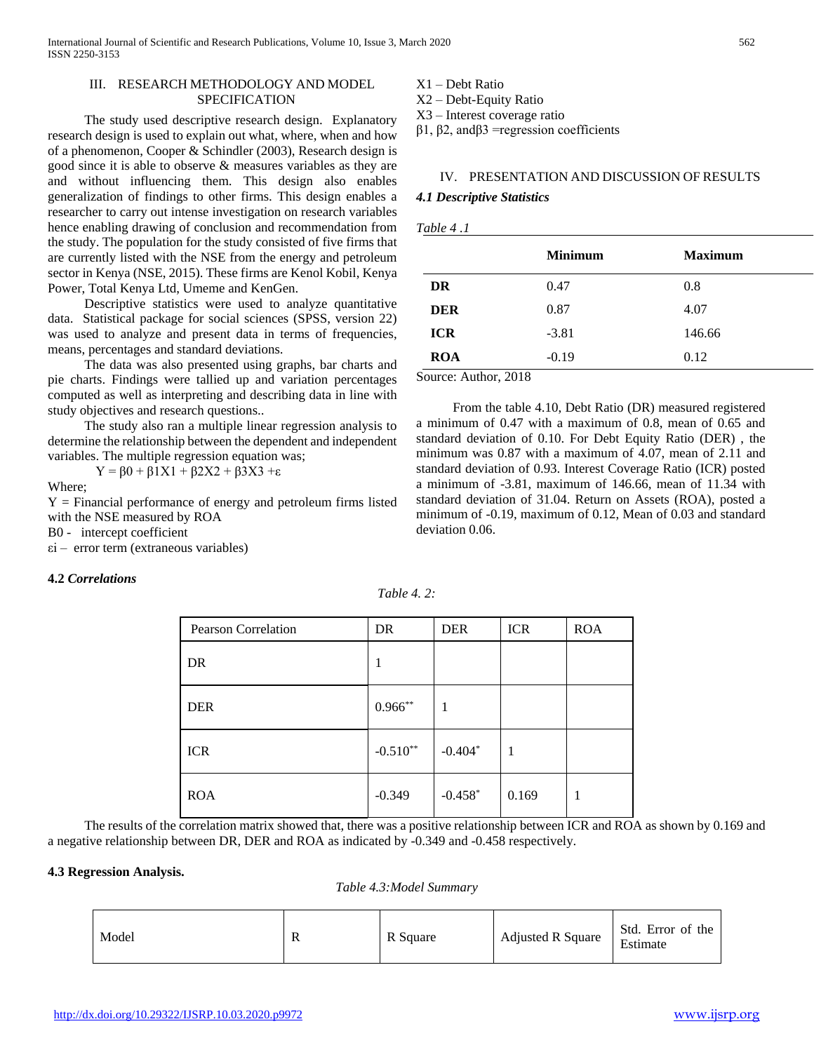## III. RESEARCH METHODOLOGY AND MODEL **SPECIFICATION**

 The study used descriptive research design. Explanatory research design is used to explain out what, where, when and how of a phenomenon, Cooper & Schindler (2003), Research design is good since it is able to observe & measures variables as they are and without influencing them. This design also enables generalization of findings to other firms. This design enables a researcher to carry out intense investigation on research variables hence enabling drawing of conclusion and recommendation from the study. The population for the study consisted of five firms that are currently listed with the NSE from the energy and petroleum sector in Kenya (NSE, 2015). These firms are Kenol Kobil, Kenya Power, Total Kenya Ltd, Umeme and KenGen.

 Descriptive statistics were used to analyze quantitative data. Statistical package for social sciences (SPSS, version 22) was used to analyze and present data in terms of frequencies, means, percentages and standard deviations.

 The data was also presented using graphs, bar charts and pie charts. Findings were tallied up and variation percentages computed as well as interpreting and describing data in line with study objectives and research questions..

 The study also ran a multiple linear regression analysis to determine the relationship between the dependent and independent variables. The multiple regression equation was;

Y = β0 + β1X1 + β2X2 + β3X3 +ε

Where;

 $Y =$  Financial performance of energy and petroleum firms listed with the NSE measured by ROA

B0 - intercept coefficient

εi – error term (extraneous variables)

## **4.2** *Correlations*

*Table 4. 2:*

| <b>Pearson Correlation</b> | DR         | <b>DER</b> | <b>ICR</b> | <b>ROA</b> |
|----------------------------|------------|------------|------------|------------|
| DR                         |            |            |            |            |
| <b>DER</b>                 | $0.966**$  |            |            |            |
| <b>ICR</b>                 | $-0.510**$ | $-0.404*$  |            |            |
| <b>ROA</b>                 | $-0.349$   | $-0.458*$  | 0.169      | 1          |

 The results of the correlation matrix showed that, there was a positive relationship between ICR and ROA as shown by 0.169 and a negative relationship between DR, DER and ROA as indicated by -0.349 and -0.458 respectively.

## **4.3 Regression Analysis.**

*Table 4.3:Model Summary*

| Model | R | R Square | <b>Adjusted R Square</b> | Std. Error of the<br>Estimate |
|-------|---|----------|--------------------------|-------------------------------|
|-------|---|----------|--------------------------|-------------------------------|

X1 – Debt Ratio

X2 – Debt-Equity Ratio

X3 – Interest coverage ratio

β1, β2, andβ3 =regression coefficients

#### IV. PRESENTATION AND DISCUSSION OF RESULTS

#### *4.1 Descriptive Statistics*

| Table 4 |  |  |  |
|---------|--|--|--|
|---------|--|--|--|

|            | <b>Minimum</b> | <b>Maximum</b> |
|------------|----------------|----------------|
| DR         | 0.47           | 0.8            |
| <b>DER</b> | 0.87           | 4.07           |
| <b>ICR</b> | $-3.81$        | 146.66         |
| <b>ROA</b> | $-0.19$        | 0.12           |

Source: Author, 2018

 From the table 4.10, Debt Ratio (DR) measured registered a minimum of 0.47 with a maximum of 0.8, mean of 0.65 and standard deviation of 0.10. For Debt Equity Ratio (DER) , the minimum was 0.87 with a maximum of 4.07, mean of 2.11 and standard deviation of 0.93. Interest Coverage Ratio (ICR) posted a minimum of -3.81, maximum of 146.66, mean of 11.34 with standard deviation of 31.04. Return on Assets (ROA), posted a minimum of -0.19, maximum of 0.12, Mean of 0.03 and standard deviation 0.06.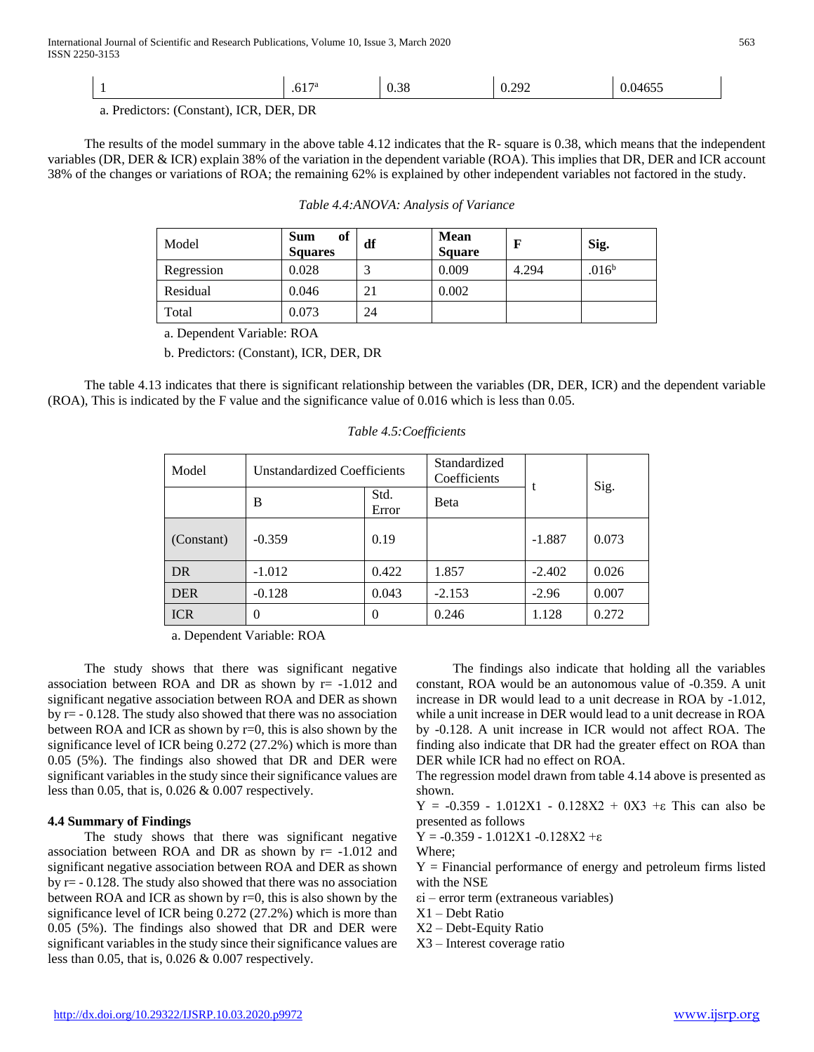| ററ<br>U.S8<br>.01.<br>ட<br>,,,,,<br>$\sim$ |
|--------------------------------------------|
|--------------------------------------------|

a. Predictors: (Constant), ICR, DER, DR

 The results of the model summary in the above table 4.12 indicates that the R- square is 0.38, which means that the independent variables (DR, DER & ICR) explain 38% of the variation in the dependent variable (ROA). This implies that DR, DER and ICR account 38% of the changes or variations of ROA; the remaining 62% is explained by other independent variables not factored in the study.

| Model      | of<br><b>Sum</b><br><b>Squares</b> | df | <b>Mean</b><br><b>Square</b> | F     | Sig.              |
|------------|------------------------------------|----|------------------------------|-------|-------------------|
| Regression | 0.028                              | ⌒  | 0.009                        | 4.294 | .016 <sup>b</sup> |
| Residual   | 0.046                              | 21 | 0.002                        |       |                   |
| Total      | 0.073                              | 24 |                              |       |                   |

a. Dependent Variable: ROA

b. Predictors: (Constant), ICR, DER, DR

 The table 4.13 indicates that there is significant relationship between the variables (DR, DER, ICR) and the dependent variable (ROA), This is indicated by the F value and the significance value of 0.016 which is less than 0.05.

| Model      | Unstandardized Coefficients |               | Standardized<br>Coefficients |          | Sig.  |
|------------|-----------------------------|---------------|------------------------------|----------|-------|
|            | B                           | Std.<br>Error | Beta                         |          |       |
| (Constant) | $-0.359$                    | 0.19          |                              | $-1.887$ | 0.073 |
| DR         | $-1.012$                    | 0.422         | 1.857                        | $-2.402$ | 0.026 |
| <b>DER</b> | $-0.128$                    | 0.043         | $-2.153$                     | $-2.96$  | 0.007 |
| <b>ICR</b> | 0                           | $\Omega$      | 0.246                        | 1.128    | 0.272 |

## *Table 4.5:Coefficients*

a. Dependent Variable: ROA

 The study shows that there was significant negative association between ROA and DR as shown by  $r= -1.012$  and significant negative association between ROA and DER as shown by  $r = -0.128$ . The study also showed that there was no association between ROA and ICR as shown by r=0, this is also shown by the significance level of ICR being 0.272 (27.2%) which is more than 0.05 (5%). The findings also showed that DR and DER were significant variables in the study since their significance values are less than 0.05, that is, 0.026 & 0.007 respectively.

## **4.4 Summary of Findings**

 The study shows that there was significant negative association between ROA and DR as shown by  $r= -1.012$  and significant negative association between ROA and DER as shown by  $r = -0.128$ . The study also showed that there was no association between ROA and ICR as shown by r=0, this is also shown by the significance level of ICR being 0.272 (27.2%) which is more than 0.05 (5%). The findings also showed that DR and DER were significant variables in the study since their significance values are less than 0.05, that is, 0.026 & 0.007 respectively.

 The findings also indicate that holding all the variables constant, ROA would be an autonomous value of -0.359. A unit increase in DR would lead to a unit decrease in ROA by -1.012, while a unit increase in DER would lead to a unit decrease in ROA by -0.128. A unit increase in ICR would not affect ROA. The finding also indicate that DR had the greater effect on ROA than DER while ICR had no effect on ROA.

The regression model drawn from table 4.14 above is presented as shown.

Y = -0.359 - 1.012X1 - 0.128X2 + 0X3 +ε This can also be presented as follows

Y = -0.359 - 1.012X1 -0.128X2 +ε Where;

 $Y =$  Financial performance of energy and petroleum firms listed with the NSE

εi – error term (extraneous variables)

X1 – Debt Ratio

- X2 Debt-Equity Ratio
- X3 Interest coverage ratio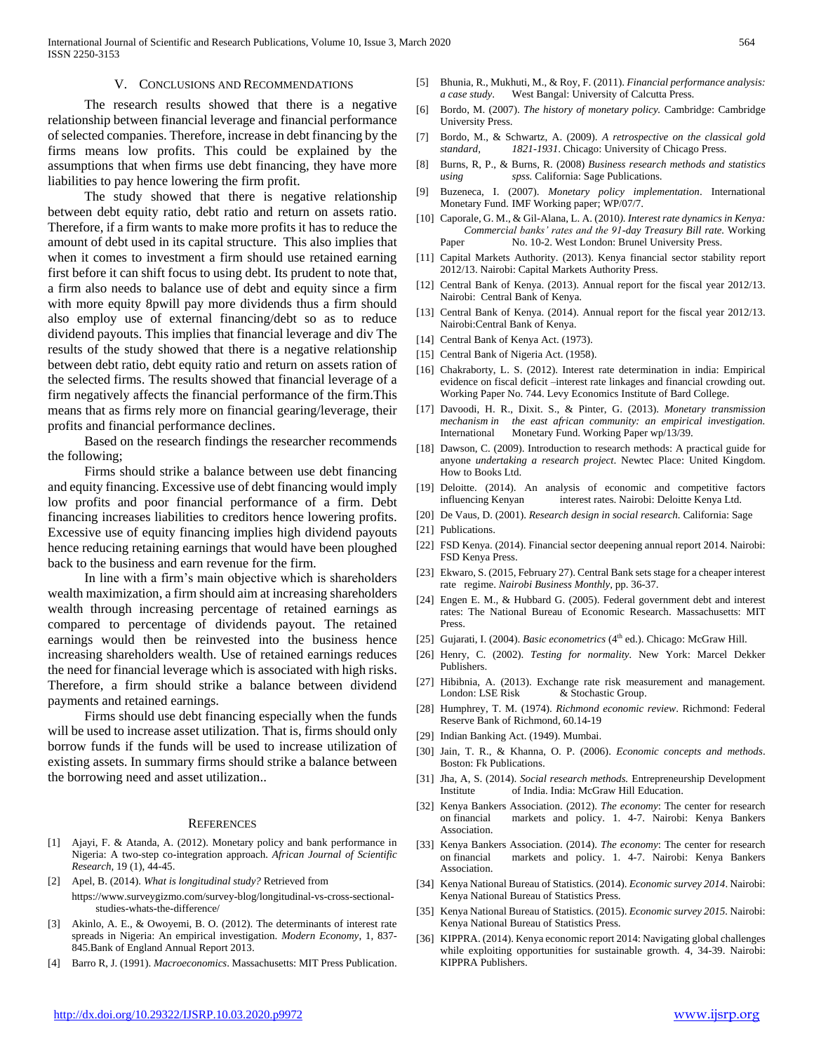#### V. CONCLUSIONS AND RECOMMENDATIONS

 The research results showed that there is a negative relationship between financial leverage and financial performance of selected companies. Therefore, increase in debt financing by the firms means low profits. This could be explained by the assumptions that when firms use debt financing, they have more liabilities to pay hence lowering the firm profit.

 The study showed that there is negative relationship between debt equity ratio, debt ratio and return on assets ratio. Therefore, if a firm wants to make more profits it has to reduce the amount of debt used in its capital structure. This also implies that when it comes to investment a firm should use retained earning first before it can shift focus to using debt. Its prudent to note that, a firm also needs to balance use of debt and equity since a firm with more equity 8pwill pay more dividends thus a firm should also employ use of external financing/debt so as to reduce dividend payouts. This implies that financial leverage and div The results of the study showed that there is a negative relationship between debt ratio, debt equity ratio and return on assets ration of the selected firms. The results showed that financial leverage of a firm negatively affects the financial performance of the firm.This means that as firms rely more on financial gearing/leverage, their profits and financial performance declines.

 Based on the research findings the researcher recommends the following;

 Firms should strike a balance between use debt financing and equity financing. Excessive use of debt financing would imply low profits and poor financial performance of a firm. Debt financing increases liabilities to creditors hence lowering profits. Excessive use of equity financing implies high dividend payouts hence reducing retaining earnings that would have been ploughed back to the business and earn revenue for the firm.

 In line with a firm's main objective which is shareholders wealth maximization, a firm should aim at increasing shareholders wealth through increasing percentage of retained earnings as compared to percentage of dividends payout. The retained earnings would then be reinvested into the business hence increasing shareholders wealth. Use of retained earnings reduces the need for financial leverage which is associated with high risks. Therefore, a firm should strike a balance between dividend payments and retained earnings.

 Firms should use debt financing especially when the funds will be used to increase asset utilization. That is, firms should only borrow funds if the funds will be used to increase utilization of existing assets. In summary firms should strike a balance between the borrowing need and asset utilization..

#### **REFERENCES**

- [1] Ajayi, F. & Atanda, A. (2012). Monetary policy and bank performance in Nigeria: A two-step co-integration approach. *African Journal of Scientific Research,* 19 (1), 44-45.
- [2] Apel, B. (2014). *What is longitudinal study?* Retrieved from
- https://www.surveygizmo.com/survey-blog/longitudinal-vs-cross-sectionalstudies-whats-the-difference/
- [3] Akinlo, A. E., & Owoyemi, B. O. (2012). The determinants of interest rate spreads in Nigeria: An empirical investigation. *Modern Economy*, 1, 837- 845.Bank of England Annual Report 2013.
- [4] Barro R, J. (1991). *Macroeconomics*. Massachusetts: MIT Press Publication.
- [5] Bhunia, R., Mukhuti, M., & Roy, F. (2011). *Financial performance analysis: a case study*. West Bangal: University of Calcutta Press.
- [6] Bordo, M. (2007). *The history of monetary policy.* Cambridge: Cambridge University Press.
- [7] Bordo, M., & Schwartz, A. (2009). *A retrospective on the classical gold standard, 1821-1931*. Chicago: University of Chicago Press.
- [8] Burns, R, P., & Burns, R. (2008) *Business research methods and statistics using spss.* California: Sage Publications.
- [9] Buzeneca, I. (2007). *Monetary policy implementation*. International Monetary Fund. IMF Working paper; WP/07/7.
- [10] Caporale, G. M., & Gil-Alana, L. A. (2010*). Interest rate dynamics in Kenya: Commercial banks' rates and the 91-day Treasury Bill rate.* Working Paper No. 10-2. West London: Brunel University Press.
- [11] Capital Markets Authority. (2013). Kenya financial sector stability report 2012/13. Nairobi: Capital Markets Authority Press.
- [12] Central Bank of Kenya. (2013). Annual report for the fiscal year 2012/13. Nairobi: Central Bank of Kenya.
- [13] Central Bank of Kenya. (2014). Annual report for the fiscal year 2012/13. Nairobi:Central Bank of Kenya.
- [14] Central Bank of Kenya Act. (1973).
- [15] Central Bank of Nigeria Act. (1958).
- [16] Chakraborty, L. S. (2012). Interest rate determination in india: Empirical evidence on fiscal deficit –interest rate linkages and financial crowding out. Working Paper No. 744. Levy Economics Institute of Bard College.
- [17] Davoodi, H. R., Dixit. S., & Pinter, G. (2013). *Monetary transmission mechanism in the east african community: an empirical investigation.*  International Monetary Fund. Working Paper wp/13/39.
- [18] Dawson, C. (2009). Introduction to research methods: A practical guide for anyone *undertaking a research project*. Newtec Place: United Kingdom. How to Books Ltd.
- [19] Deloitte. (2014). An analysis of economic and competitive factors influencing Kenyan interest rates. Nairobi: Deloitte Kenya Ltd.
- [20] De Vaus, D. (2001). *Research design in social research.* California: Sage
- [21] Publications.
- [22] FSD Kenya. (2014). Financial sector deepening annual report 2014. Nairobi: FSD Kenya Press.
- [23] Ekwaro, S. (2015, February 27). Central Bank sets stage for a cheaper interest rate regime. *Nairobi Business Monthly,* pp. 36-37.
- [24] Engen E. M., & Hubbard G. (2005). Federal government debt and interest rates: The National Bureau of Economic Research. Massachusetts: MIT Press.
- [25] Gujarati, I. (2004). *Basic econometrics* (4<sup>th</sup> ed.). Chicago: McGraw Hill.
- [26] Henry, C. (2002). *Testing for normality.* New York: Marcel Dekker Publishers.
- [27] Hibibnia, A. (2013). Exchange rate risk measurement and management. London: LSE Risk & Stochastic Group.
- [28] Humphrey, T. M. (1974). *Richmond economic review*. Richmond: Federal Reserve Bank of Richmond, 60.14-19
- [29] Indian Banking Act. (1949). Mumbai.
- [30] Jain, T. R., & Khanna, O. P. (2006). *Economic concepts and methods*. Boston: Fk Publications.
- [31] Jha, A, S. (2014). *Social research methods.* Entrepreneurship Development Institute of India. India: McGraw Hill Education.
- [32] Kenya Bankers Association. (2012). *The economy*: The center for research on financial markets and policy. 1. 4-7. Nairobi: Kenya Bankers Association.
- [33] Kenya Bankers Association. (2014). *The economy*: The center for research on financial markets and policy. 1. 4-7. Nairobi: Kenya Bankers Association.
- [34] Kenya National Bureau of Statistics. (2014). *Economic survey 2014*. Nairobi: Kenya National Bureau of Statistics Press.
- [35] Kenya National Bureau of Statistics. (2015). *Economic survey 2015.* Nairobi: Kenya National Bureau of Statistics Press.
- [36] KIPPRA. (2014). Kenya economic report 2014: Navigating global challenges while exploiting opportunities for sustainable growth. 4, 34-39. Nairobi: KIPPRA Publishers.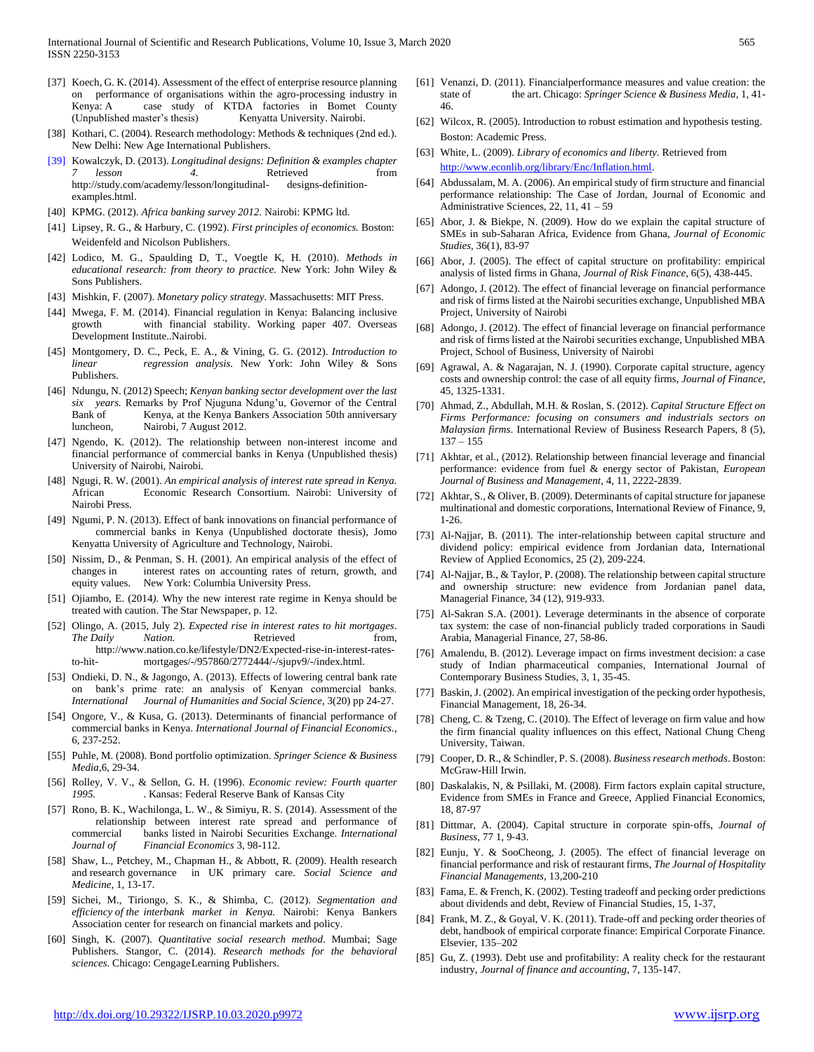- [37] Koech, G. K. (2014). Assessment of the effect of enterprise resource planning on performance of organisations within the agro-processing industry in Kenya: A case study of KTDA factories in Bomet County (Unpublished master's thesis) Kenyatta University. Nairobi.
- [38] Kothari, C. (2004). Research methodology: Methods & techniques (2nd ed.). New Delhi: New Age International Publishers.
- [39] Kowalczyk, D. (2013). *Longitudinal designs: Definition & examples chapter 7 lesson 4.* Retrieved from http://study.com/academy/lesson/longitudinal- designs-definitionexamples.html.
- [40] KPMG. (2012). *Africa banking survey 2012.* Nairobi: KPMG ltd.
- [41] Lipsey, R. G., & Harbury, C. (1992). *First principles of economics.* Boston: Weidenfeld and Nicolson Publishers.
- [42] Lodico, M. G., Spaulding D, T., Voegtle K, H. (2010). *Methods in educational research: from theory to practice.* New York: John Wiley & Sons Publishers.
- [43] Mishkin, F. (2007). *Monetary policy strategy*. Massachusetts: MIT Press.
- [44] Mwega, F. M. (2014). Financial regulation in Kenya: Balancing inclusive growth with financial stability. Working paper 407. Overseas Development Institute..Nairobi.
- [45] Montgomery, D. C., Peck, E. A., & Vining, G. G. (2012). *Introduction to linear regression analysis.* New York: John Wiley & Sons Publishers.
- [46] Ndungu, N. (2012) Speech; *Kenyan banking sector development over the last six years.* Remarks by Prof Njuguna Ndung'u, Governor of the Central Bank of Kenya, at the Kenya Bankers Association 50th anniversary luncheon, Nairobi, 7 August 2012.
- [47] Ngendo, K. (2012). The relationship between non-interest income and financial performance of commercial banks in Kenya (Unpublished thesis) University of Nairobi, Nairobi.
- [48] Ngugi, R. W. (2001). *An empirical analysis of interest rate spread in Kenya.*  African Economic Research Consortium. Nairobi: University of Nairobi Press.
- [49] Ngumi, P. N. (2013). Effect of bank innovations on financial performance of commercial banks in Kenya (Unpublished doctorate thesis), Jomo Kenyatta University of Agriculture and Technology, Nairobi.
- [50] Nissim, D., & Penman, S. H. (2001). An empirical analysis of the effect of changes in interest rates on accounting rates of return, growth, and equity values. New York: Columbia University Press.
- [51] Ojiambo, E. (2014*).* Why the new interest rate regime in Kenya should be treated with caution. The Star Newspaper, p. 12.
- [52] Olingo, A. (2015, July 2). *Expected rise in interest rates to hit mortgages*. *The Daily Nation.* Retrieved from, http://www.nation.co.ke/lifestyle/DN2/Expected-rise-in-interest-ratesto-hit- mortgages/-/957860/2772444/-/sjupv9/-/index.html.
- [53] Ondieki, D. N., & Jagongo, A. (2013). Effects of lowering central bank rate on bank's prime rate: an analysis of Kenyan commercial banks. *International Journal of Humanities and Social Science,* 3(20) pp 24-27.
- [54] Ongore, V., & Kusa, G. (2013). Determinants of financial performance of commercial banks in Kenya. *International Journal of Financial Economics.,*  6, 237-252.
- [55] Puhle, M. (2008). Bond portfolio optimization. *Springer Science & Business Media*,6, 29-34.
- [56] Rolley, V. V., & Sellon, G. H. (1996). *Economic review: Fourth quarter 1995.* . Kansas: Federal Reserve Bank of Kansas City
- [57] Rono, B. K., Wachilonga, L. W., & Simiyu, R. S. (2014). Assessment of the relationship between interest rate spread and performance of commercial banks listed in Nairobi Securities Exchange*. International Journal of Financial Economics* 3, 98-112.
- [58] Shaw, L., Petchey, M., Chapman H., & Abbott, R. (2009). Health research and research governance in UK primary care. *Social Science and Medicine,* 1, 13-17.
- [59] Sichei, M., Tiriongo, S. K., & Shimba, C. (2012). *Segmentation and efficiency of the interbank market in Kenya.* Nairobi: Kenya Bankers Association center for research on financial markets and policy.
- [60] Singh, K. (2007). *Quantitative social research method*. Mumbai; Sage Publishers. Stangor, C. (2014). *Research methods for the behavioral sciences*. Chicago: CengageLearning Publishers.
- [61] Venanzi, D. (2011). Financialperformance measures and value creation: the state of the art. Chicago: *Springer Science & Business Media,* 1, 41- 46.
- [62] Wilcox, R. (2005). Introduction to robust estimation and hypothesis testing. Boston: Academic Press.
- [63] White, L. (2009). *Library of economics and liberty.* Retrieved from [http://www.econlib.org/library/Enc/Inflation.html.](http://www.econlib.org/library/Enc/Inflation.html)
- [64] Abdussalam, M. A. (2006). An empirical study of firm structure and financial performance relationship: The Case of Jordan, Journal of Economic and Administrative Sciences, 22, 11, 41 – 59
- [65] Abor, J. & Biekpe, N. (2009). How do we explain the capital structure of SMEs in sub-Saharan Africa, Evidence from Ghana, *Journal of Economic Studies*, 36(1), 83-97
- [66] Abor, J. (2005). The effect of capital structure on profitability: empirical analysis of listed firms in Ghana, *Journal of Risk Finance*, 6(5), 438-445.
- [67] Adongo, J. (2012). The effect of financial leverage on financial performance and risk of firms listed at the Nairobi securities exchange, Unpublished MBA Project, University of Nairobi
- [68] Adongo, J. (2012). The effect of financial leverage on financial performance and risk of firms listed at the Nairobi securities exchange, Unpublished MBA Project, School of Business, University of Nairobi
- [69] Agrawal, A. & Nagarajan, N. J. (1990). Corporate capital structure, agency costs and ownership control: the case of all equity firms, *Journal of Finance*, 45, 1325-1331.
- [70] Ahmad, Z., Abdullah, M.H. & Roslan, S. (2012). *Capital Structure Effect on Firms Performance: focusing on consumers and industrials sectors on Malaysian firms*. International Review of Business Research Papers, 8 (5),  $137 - 155$
- [71] Akhtar, et al., (2012). Relationship between financial leverage and financial performance: evidence from fuel & energy sector of Pakistan, *European Journal of Business and Management*, 4, 11, 2222-2839.
- [72] Akhtar, S., & Oliver, B. (2009). Determinants of capital structure for japanese multinational and domestic corporations, International Review of Finance, 9, 1-26.
- [73] Al-Najjar, B. (2011). The inter-relationship between capital structure and dividend policy: empirical evidence from Jordanian data, International Review of Applied Economics, 25 (2), 209-224.
- [74] Al-Najjar, B., & Taylor, P. (2008). The relationship between capital structure and ownership structure: new evidence from Jordanian panel data, Managerial Finance, 34 (12), 919-933.
- [75] Al-Sakran S.A. (2001). Leverage determinants in the absence of corporate tax system: the case of non-financial publicly traded corporations in Saudi Arabia, Managerial Finance, 27, 58-86.
- [76] Amalendu, B. (2012). Leverage impact on firms investment decision: a case study of Indian pharmaceutical companies, International Journal of Contemporary Business Studies, 3, 1, 35-45.
- [77] Baskin, J. (2002). An empirical investigation of the pecking order hypothesis, Financial Management, 18, 26-34.
- [78] Cheng, C. & Tzeng, C. (2010). The Effect of leverage on firm value and how the firm financial quality influences on this effect, National Chung Cheng University, Taiwan.
- [79] Cooper, D. R., & Schindler, P. S. (2008). *Business research methods*. Boston: McGraw-Hill Irwin.
- [80] Daskalakis, N, & Psillaki, M. (2008). Firm factors explain capital structure, Evidence from SMEs in France and Greece, Applied Financial Economics, 18, 87-97
- [81] Dittmar, A. (2004). Capital structure in corporate spin‐offs, *Journal of Business*, 77 1, 9‐43.
- [82] Eunju, Y. & SooCheong, J. (2005). The effect of financial leverage on financial performance and risk of restaurant firms, *The Journal of Hospitality Financial Managements*, 13,200-210
- [83] Fama, E. & French, K. (2002). Testing tradeoff and pecking order predictions about dividends and debt, Review of Financial Studies, 15, 1-37,
- [84] Frank, M. Z., & Goyal, V. K. (2011). Trade-off and pecking order theories of debt, handbook of empirical corporate finance: Empirical Corporate Finance. Elsevier, 135–202
- [85] Gu, Z. (1993). Debt use and profitability: A reality check for the restaurant industry, *Journal of finance and accounting*, 7, 135-147.